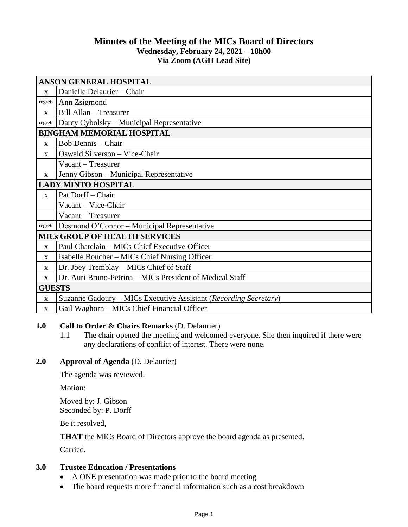# **Minutes of the Meeting of the MICs Board of Directors Wednesday, February 24, 2021 – 18h00 Via Zoom (AGH Lead Site)**

| <b>ANSON GENERAL HOSPITAL</b>        |                                                                  |
|--------------------------------------|------------------------------------------------------------------|
| $\mathbf{x}$                         | Danielle Delaurier - Chair                                       |
| regrets                              | Ann Zsigmond                                                     |
| X                                    | Bill Allan - Treasurer                                           |
| regrets                              | Darcy Cybolsky – Municipal Representative                        |
| <b>BINGHAM MEMORIAL HOSPITAL</b>     |                                                                  |
| $\mathbf{X}$                         | Bob Dennis - Chair                                               |
| X                                    | Oswald Silverson - Vice-Chair                                    |
|                                      | Vacant – Treasurer                                               |
| $\mathbf{X}$                         | Jenny Gibson - Municipal Representative                          |
| <b>LADY MINTO HOSPITAL</b>           |                                                                  |
| $\mathbf{x}$                         | Pat Dorff - Chair                                                |
|                                      | Vacant - Vice-Chair                                              |
|                                      | Vacant – Treasurer                                               |
| regrets                              | Desmond O'Connor - Municipal Representative                      |
| <b>MICS GROUP OF HEALTH SERVICES</b> |                                                                  |
| X                                    | Paul Chatelain - MICs Chief Executive Officer                    |
| $\mathbf{X}$                         | Isabelle Boucher – MICs Chief Nursing Officer                    |
| $\mathbf{x}$                         | Dr. Joey Tremblay – MICs Chief of Staff                          |
| X                                    | Dr. Auri Bruno-Petrina – MICs President of Medical Staff         |
| <b>GUESTS</b>                        |                                                                  |
| $\mathbf X$                          | Suzanne Gadoury – MICs Executive Assistant (Recording Secretary) |
| $\mathbf{X}$                         | Gail Waghorn - MICs Chief Financial Officer                      |

### **1.0 Call to Order & Chairs Remarks** (D. Delaurier)

1.1 The chair opened the meeting and welcomed everyone. She then inquired if there were any declarations of conflict of interest. There were none.

# **2.0 Approval of Agenda** (D. Delaurier)

The agenda was reviewed.

Motion:

Moved by: J. Gibson Seconded by: P. Dorff

Be it resolved,

**THAT** the MICs Board of Directors approve the board agenda as presented.

Carried.

# **3.0 Trustee Education / Presentations**

- A ONE presentation was made prior to the board meeting
- The board requests more financial information such as a cost breakdown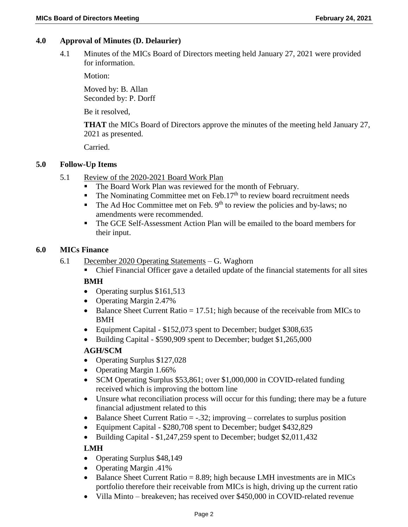## **4.0 Approval of Minutes (D. Delaurier)**

4.1 Minutes of the MICs Board of Directors meeting held January 27, 2021 were provided for information.

Motion:

Moved by: B. Allan Seconded by: P. Dorff

Be it resolved,

**THAT** the MICs Board of Directors approve the minutes of the meeting held January 27, 2021 as presented.

Carried.

### **5.0 Follow-Up Items**

- 5.1 Review of the 2020-2021 Board Work Plan
	- The Board Work Plan was reviewed for the month of February.
	- $\blacksquare$  The Nominating Committee met on Feb.17<sup>th</sup> to review board recruitment needs
	- $\blacksquare$  The Ad Hoc Committee met on Feb. 9<sup>th</sup> to review the policies and by-laws; no amendments were recommended.
	- The GCE Self-Assessment Action Plan will be emailed to the board members for their input.

#### **6.0 MICs Finance**

- 6.1 December 2020 Operating Statements G. Waghorn
	- Chief Financial Officer gave a detailed update of the financial statements for all sites

### **BMH**

- Operating surplus \$161,513
- Operating Margin 2.47%
- $\bullet$  Balance Sheet Current Ratio = 17.51; high because of the receivable from MICs to BMH
- Equipment Capital \$152,073 spent to December; budget \$308,635
- Building Capital \$590,909 spent to December; budget \$1,265,000

### **AGH/SCM**

- Operating Surplus \$127,028
- Operating Margin 1.66%
- SCM Operating Surplus \$53,861; over \$1,000,000 in COVID-related funding received which is improving the bottom line
- Unsure what reconciliation process will occur for this funding; there may be a future financial adjustment related to this
- $\bullet$  Balance Sheet Current Ratio = -.32; improving correlates to surplus position
- Equipment Capital \$280,708 spent to December; budget \$432,829
- Building Capital \$1,247,259 spent to December; budget \$2,011,432

# **LMH**

- Operating Surplus \$48,149
- Operating Margin .41%
- $\bullet$  Balance Sheet Current Ratio = 8.89; high because LMH investments are in MICs portfolio therefore their receivable from MICs is high, driving up the current ratio
- Villa Minto breakeven; has received over \$450,000 in COVID-related revenue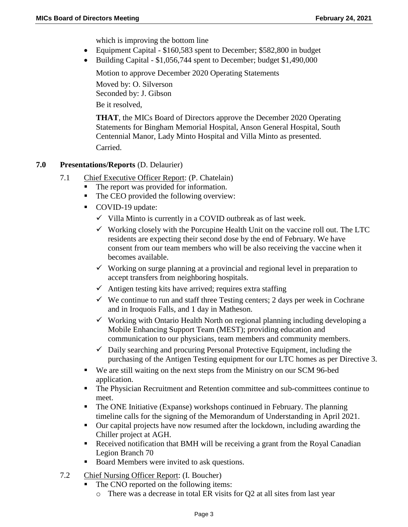which is improving the bottom line

- Equipment Capital \$160,583 spent to December; \$582,800 in budget
- Building Capital \$1,056,744 spent to December; budget \$1,490,000

Motion to approve December 2020 Operating Statements

Moved by: O. Silverson Seconded by: J. Gibson Be it resolved,

**THAT**, the MICs Board of Directors approve the December 2020 Operating Statements for Bingham Memorial Hospital, Anson General Hospital, South Centennial Manor, Lady Minto Hospital and Villa Minto as presented. Carried.

# **7.0 Presentations/Reports** (D. Delaurier)

- 7.1 Chief Executive Officer Report: (P. Chatelain)
	- The report was provided for information.
	- The CEO provided the following overview:
	- COVID-19 update:
		- $\checkmark$  Villa Minto is currently in a COVID outbreak as of last week.
		- $\checkmark$  Working closely with the Porcupine Health Unit on the vaccine roll out. The LTC residents are expecting their second dose by the end of February. We have consent from our team members who will be also receiving the vaccine when it becomes available.
		- $\checkmark$  Working on surge planning at a provincial and regional level in preparation to accept transfers from neighboring hospitals.
		- $\checkmark$  Antigen testing kits have arrived; requires extra staffing
		- $\checkmark$  We continue to run and staff three Testing centers; 2 days per week in Cochrane and in Iroquois Falls, and 1 day in Matheson.
		- $\checkmark$  Working with Ontario Health North on regional planning including developing a Mobile Enhancing Support Team (MEST); providing education and communication to our physicians, team members and community members.
		- $\checkmark$  Daily searching and procuring Personal Protective Equipment, including the purchasing of the Antigen Testing equipment for our LTC homes as per Directive 3.
	- We are still waiting on the next steps from the Ministry on our SCM 96-bed application.
	- The Physician Recruitment and Retention committee and sub-committees continue to meet.
	- The ONE Initiative (Expanse) workshops continued in February. The planning timeline calls for the signing of the Memorandum of Understanding in April 2021.
	- Our capital projects have now resumed after the lockdown, including awarding the Chiller project at AGH.
	- Received notification that BMH will be receiving a grant from the Royal Canadian Legion Branch 70
	- Board Members were invited to ask questions.
- 7.2 Chief Nursing Officer Report: (I. Boucher)
	- The CNO reported on the following items:
		- o There was a decrease in total ER visits for Q2 at all sites from last year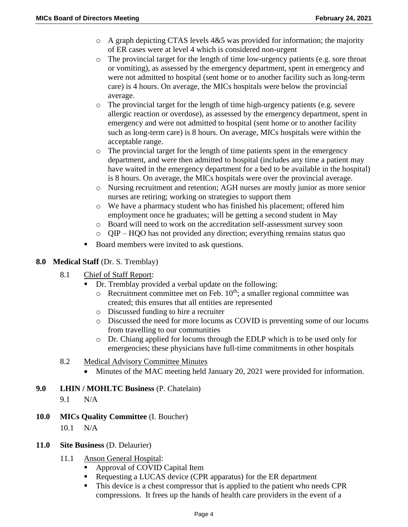- o A graph depicting CTAS levels 4&5 was provided for information; the majority of ER cases were at level 4 which is considered non-urgent
- o The provincial target for the length of time low-urgency patients (e.g. sore throat or vomiting), as assessed by the emergency department, spent in emergency and were not admitted to hospital (sent home or to another facility such as long-term care) is 4 hours. On average, the MICs hospitals were below the provincial average.
- o The provincial target for the length of time high-urgency patients (e.g. severe allergic reaction or overdose), as assessed by the emergency department, spent in emergency and were not admitted to hospital (sent home or to another facility such as long-term care) is 8 hours. On average, MICs hospitals were within the acceptable range.
- $\circ$  The provincial target for the length of time patients spent in the emergency department, and were then admitted to hospital (includes any time a patient may have waited in the emergency department for a bed to be available in the hospital) is 8 hours. On average, the MICs hospitals were over the provincial average.
- o Nursing recruitment and retention; AGH nurses are mostly junior as more senior nurses are retiring; working on strategies to support them
- o We have a pharmacy student who has finished his placement; offered him employment once he graduates; will be getting a second student in May
- o Board will need to work on the accreditation self-assessment survey soon
- o QIP HQO has not provided any direction; everything remains status quo
- Board members were invited to ask questions.
- **8.0 Medical Staff** (Dr. S. Tremblay)
	- 8.1 Chief of Staff Report:
		- Dr. Tremblay provided a verbal update on the following:
			- $\circ$  Recruitment committee met on Feb. 10<sup>th</sup>; a smaller regional committee was created; this ensures that all entities are represented
			- o Discussed funding to hire a recruiter
			- o Discussed the need for more locums as COVID is preventing some of our locums from travelling to our communities
			- o Dr. Chiang applied for locums through the EDLP which is to be used only for emergencies; these physicians have full-time commitments in other hospitals
	- 8.2 Medical Advisory Committee Minutes
		- Minutes of the MAC meeting held January 20, 2021 were provided for information.
- **9.0 LHIN / MOHLTC Business** (P. Chatelain)
	- 9.1 N/A
- **10.0 MICs Quality Committee** (I. Boucher)
	- 10.1 N/A
- **11.0 Site Business** (D. Delaurier)
	- 11.1 Anson General Hospital:
		- Approval of COVID Capital Item
		- Requesting a LUCAS device (CPR apparatus) for the ER department
		- This device is a chest compressor that is applied to the patient who needs CPR compressions. It frees up the hands of health care providers in the event of a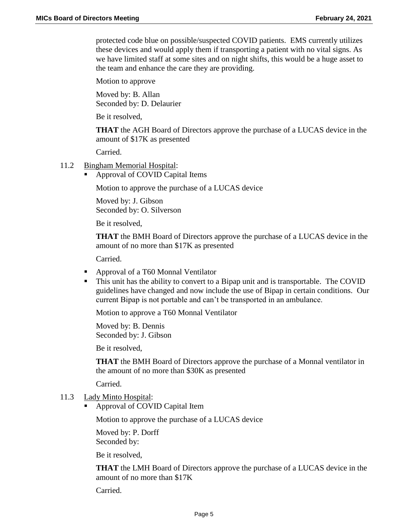protected code blue on possible/suspected COVID patients. EMS currently utilizes these devices and would apply them if transporting a patient with no vital signs. As we have limited staff at some sites and on night shifts, this would be a huge asset to the team and enhance the care they are providing.

Motion to approve

Moved by: B. Allan Seconded by: D. Delaurier

Be it resolved,

**THAT** the AGH Board of Directors approve the purchase of a LUCAS device in the amount of \$17K as presented

Carried.

#### 11.2 Bingham Memorial Hospital:

Approval of COVID Capital Items

Motion to approve the purchase of a LUCAS device

Moved by: J. Gibson Seconded by: O. Silverson

Be it resolved,

**THAT** the BMH Board of Directors approve the purchase of a LUCAS device in the amount of no more than \$17K as presented

Carried.

- Approval of a T60 Monnal Ventilator
- This unit has the ability to convert to a Bipap unit and is transportable. The COVID guidelines have changed and now include the use of Bipap in certain conditions. Our current Bipap is not portable and can't be transported in an ambulance.

Motion to approve a T60 Monnal Ventilator

Moved by: B. Dennis Seconded by: J. Gibson

Be it resolved,

**THAT** the BMH Board of Directors approve the purchase of a Monnal ventilator in the amount of no more than \$30K as presented

Carried.

- 11.3 Lady Minto Hospital:
	- Approval of COVID Capital Item

Motion to approve the purchase of a LUCAS device

Moved by: P. Dorff Seconded by:

Be it resolved,

**THAT** the LMH Board of Directors approve the purchase of a LUCAS device in the amount of no more than \$17K

Carried.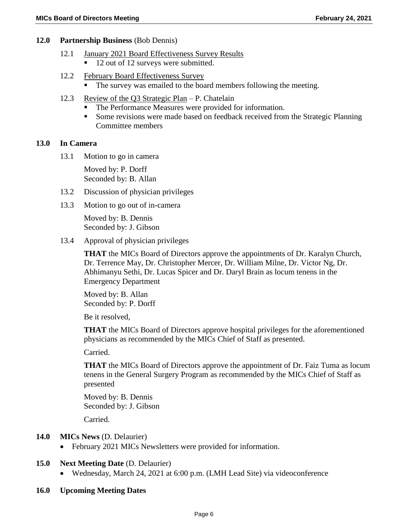#### **12.0 Partnership Business** (Bob Dennis)

- 12.1 January 2021 Board Effectiveness Survey Results ■ 12 out of 12 surveys were submitted.
- 12.2 February Board Effectiveness Survey The survey was emailed to the board members following the meeting.
- 12.3 Review of the Q3 Strategic Plan P. Chatelain
	- The Performance Measures were provided for information.
	- Some revisions were made based on feedback received from the Strategic Planning Committee members

#### **13.0 In Camera**

13.1 Motion to go in camera

Moved by: P. Dorff Seconded by: B. Allan

- 13.2 Discussion of physician privileges
- 13.3 Motion to go out of in-camera

Moved by: B. Dennis Seconded by: J. Gibson

13.4 Approval of physician privileges

**THAT** the MICs Board of Directors approve the appointments of Dr. Karalyn Church, Dr. Terrence May, Dr. Christopher Mercer, Dr. William Milne, Dr. Victor Ng, Dr. Abhimanyu Sethi, Dr. Lucas Spicer and Dr. Daryl Brain as locum tenens in the Emergency Department

Moved by: B. Allan Seconded by: P. Dorff

Be it resolved,

**THAT** the MICs Board of Directors approve hospital privileges for the aforementioned physicians as recommended by the MICs Chief of Staff as presented.

Carried.

**THAT** the MICs Board of Directors approve the appointment of Dr. Faiz Tuma as locum tenens in the General Surgery Program as recommended by the MICs Chief of Staff as presented

Moved by: B. Dennis Seconded by: J. Gibson

Carried.

### **14.0 MICs News** (D. Delaurier)

• February 2021 MICs Newsletters were provided for information.

### **15.0 Next Meeting Date** (D. Delaurier)

- Wednesday, March 24, 2021 at 6:00 p.m. (LMH Lead Site) via videoconference
- **16.0 Upcoming Meeting Dates**